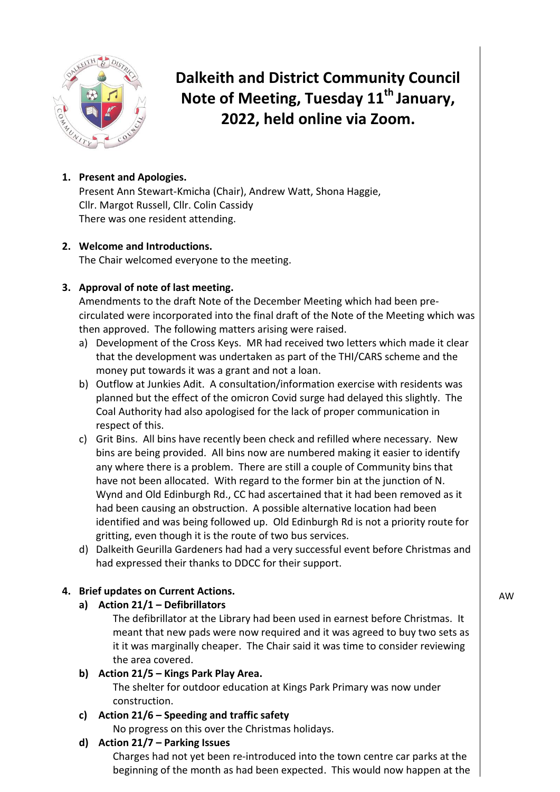

**Dalkeith and District Community Council Note of Meeting, Tuesday 11 th January, 2022, held online via Zoom.**

# **1. Present and Apologies.**

Present Ann Stewart-Kmicha (Chair), Andrew Watt, Shona Haggie, Cllr. Margot Russell, Cllr. Colin Cassidy There was one resident attending.

## **2. Welcome and Introductions.**

The Chair welcomed everyone to the meeting.

## **3. Approval of note of last meeting.**

Amendments to the draft Note of the December Meeting which had been precirculated were incorporated into the final draft of the Note of the Meeting which was then approved. The following matters arising were raised.

- a) Development of the Cross Keys. MR had received two letters which made it clear that the development was undertaken as part of the THI/CARS scheme and the money put towards it was a grant and not a loan.
- b) Outflow at Junkies Adit. A consultation/information exercise with residents was planned but the effect of the omicron Covid surge had delayed this slightly. The Coal Authority had also apologised for the lack of proper communication in respect of this.
- c) Grit Bins. All bins have recently been check and refilled where necessary. New bins are being provided. All bins now are numbered making it easier to identify any where there is a problem. There are still a couple of Community bins that have not been allocated. With regard to the former bin at the junction of N. Wynd and Old Edinburgh Rd., CC had ascertained that it had been removed as it had been causing an obstruction. A possible alternative location had been identified and was being followed up. Old Edinburgh Rd is not a priority route for gritting, even though it is the route of two bus services.
- d) Dalkeith Geurilla Gardeners had had a very successful event before Christmas and had expressed their thanks to DDCC for their support.

# **4. Brief updates on Current Actions.**

**a) Action 21/1 – Defibrillators** 

The defibrillator at the Library had been used in earnest before Christmas. It meant that new pads were now required and it was agreed to buy two sets as it it was marginally cheaper. The Chair said it was time to consider reviewing the area covered.

### **b) Action 21/5 – Kings Park Play Area.**

The shelter for outdoor education at Kings Park Primary was now under construction.

### **c) Action 21/6 – Speeding and traffic safety**

No progress on this over the Christmas holidays.

### **d) Action 21/7 – Parking Issues**

Charges had not yet been re-introduced into the town centre car parks at the beginning of the month as had been expected. This would now happen at the AW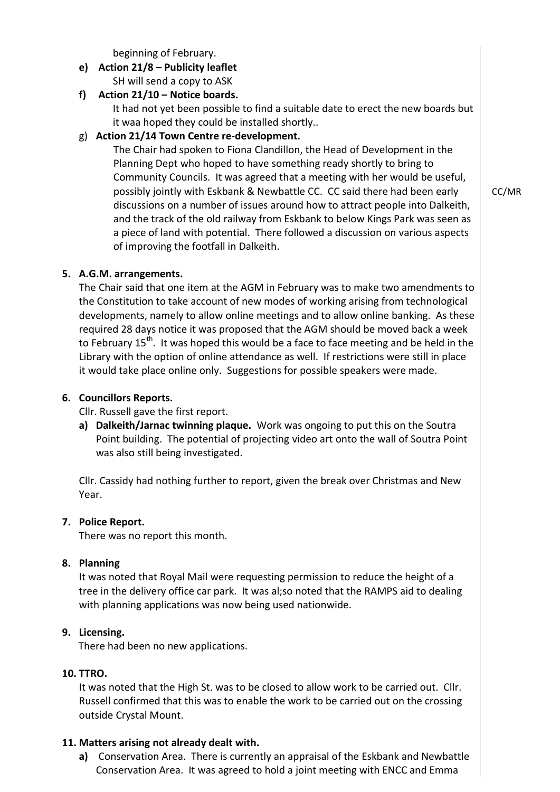beginning of February.

- **e) Action 21/8 – Publicity leaflet** SH will send a copy to ASK
- **f) Action 21/10 – Notice boards.**

It had not yet been possible to find a suitable date to erect the new boards but it waa hoped they could be installed shortly..

## g) **Action 21/14 Town Centre re-development.**

The Chair had spoken to Fiona Clandillon, the Head of Development in the Planning Dept who hoped to have something ready shortly to bring to Community Councils. It was agreed that a meeting with her would be useful, possibly jointly with Eskbank & Newbattle CC. CC said there had been early discussions on a number of issues around how to attract people into Dalkeith, and the track of the old railway from Eskbank to below Kings Park was seen as a piece of land with potential. There followed a discussion on various aspects of improving the footfall in Dalkeith.

**5. A.G.M. arrangements.**

The Chair said that one item at the AGM in February was to make two amendments to the Constitution to take account of new modes of working arising from technological developments, namely to allow online meetings and to allow online banking. As these required 28 days notice it was proposed that the AGM should be moved back a week to February 15<sup>th</sup>. It was hoped this would be a face to face meeting and be held in the Library with the option of online attendance as well. If restrictions were still in place it would take place online only. Suggestions for possible speakers were made.

### **6. Councillors Reports.**

#### Cllr. Russell gave the first report.

**a) Dalkeith/Jarnac twinning plaque.** Work was ongoing to put this on the Soutra Point building. The potential of projecting video art onto the wall of Soutra Point was also still being investigated.

Cllr. Cassidy had nothing further to report, given the break over Christmas and New Year.

### **7. Police Report.**

There was no report this month.

### **8. Planning**

It was noted that Royal Mail were requesting permission to reduce the height of a tree in the delivery office car park. It was al;so noted that the RAMPS aid to dealing with planning applications was now being used nationwide.

### **9. Licensing.**

There had been no new applications.

### **10. TTRO.**

It was noted that the High St. was to be closed to allow work to be carried out. Cllr. Russell confirmed that this was to enable the work to be carried out on the crossing outside Crystal Mount.

### **11. Matters arising not already dealt with.**

**a)** Conservation Area. There is currently an appraisal of the Eskbank and Newbattle Conservation Area. It was agreed to hold a joint meeting with ENCC and Emma

CC/MR